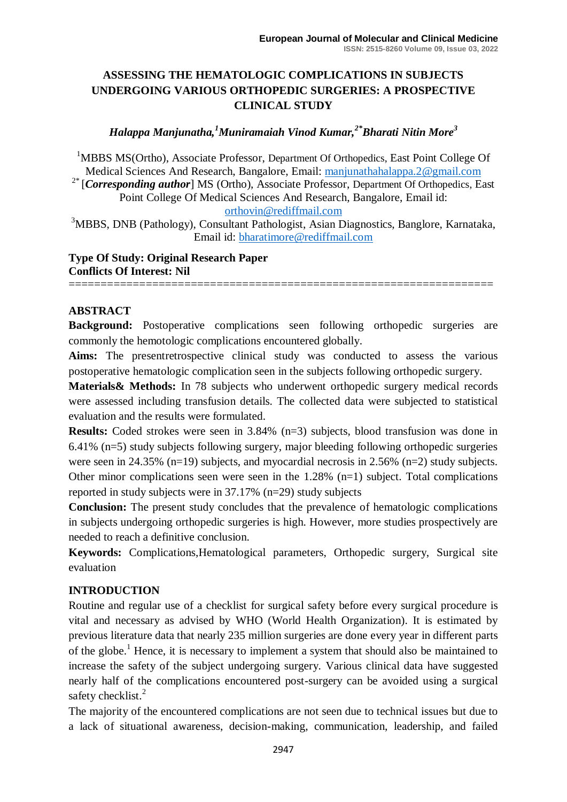# **ASSESSING THE HEMATOLOGIC COMPLICATIONS IN SUBJECTS UNDERGOING VARIOUS ORTHOPEDIC SURGERIES: A PROSPECTIVE CLINICAL STUDY**

## *Halappa Manjunatha,<sup>1</sup>Muniramaiah Vinod Kumar,2\*Bharati Nitin More<sup>3</sup>*

<sup>1</sup>MBBS MS(Ortho), Associate Professor, Department Of Orthopedics, East Point College Of Medical Sciences And Research, Bangalore, Email: [manjunathahalappa.2@gmail.com](mailto:manjunathahalappa.2@gmail.com) <sup>2\*</sup> [*Corresponding author*] MS (Ortho), Associate Professor, Department Of Orthopedics, East Point College Of Medical Sciences And Research, Bangalore, Email id: [orthovin@rediffmail.com](mailto:orthovin@rediffmail.com)

<sup>3</sup>MBBS, DNB (Pathology), Consultant Pathologist, Asian Diagnostics, Banglore, Karnataka, Email id: [bharatimore@rediffmail.com](mailto:bharatimore@rediffmail.com)

### **Type Of Study: Original Research Paper Conflicts Of Interest: Nil**

==================================================================

### **ABSTRACT**

**Background:** Postoperative complications seen following orthopedic surgeries are commonly the hemotologic complications encountered globally.

**Aims:** The presentretrospective clinical study was conducted to assess the various postoperative hematologic complication seen in the subjects following orthopedic surgery.

**Materials& Methods:** In 78 subjects who underwent orthopedic surgery medical records were assessed including transfusion details. The collected data were subjected to statistical evaluation and the results were formulated.

**Results:** Coded strokes were seen in 3.84% (n=3) subjects, blood transfusion was done in 6.41% (n=5) study subjects following surgery, major bleeding following orthopedic surgeries were seen in 24.35% (n=19) subjects, and myocardial necrosis in 2.56% (n=2) study subjects. Other minor complications seen were seen in the 1.28% (n=1) subject. Total complications reported in study subjects were in 37.17% (n=29) study subjects

**Conclusion:** The present study concludes that the prevalence of hematologic complications in subjects undergoing orthopedic surgeries is high. However, more studies prospectively are needed to reach a definitive conclusion.

**Keywords:** Complications,Hematological parameters, Orthopedic surgery, Surgical site evaluation

#### **INTRODUCTION**

Routine and regular use of a checklist for surgical safety before every surgical procedure is vital and necessary as advised by WHO (World Health Organization). It is estimated by previous literature data that nearly 235 million surgeries are done every year in different parts of the globe.<sup>1</sup> Hence, it is necessary to implement a system that should also be maintained to increase the safety of the subject undergoing surgery. Various clinical data have suggested nearly half of the complications encountered post-surgery can be avoided using a surgical safety checklist.<sup>2</sup>

The majority of the encountered complications are not seen due to technical issues but due to a lack of situational awareness, decision-making, communication, leadership, and failed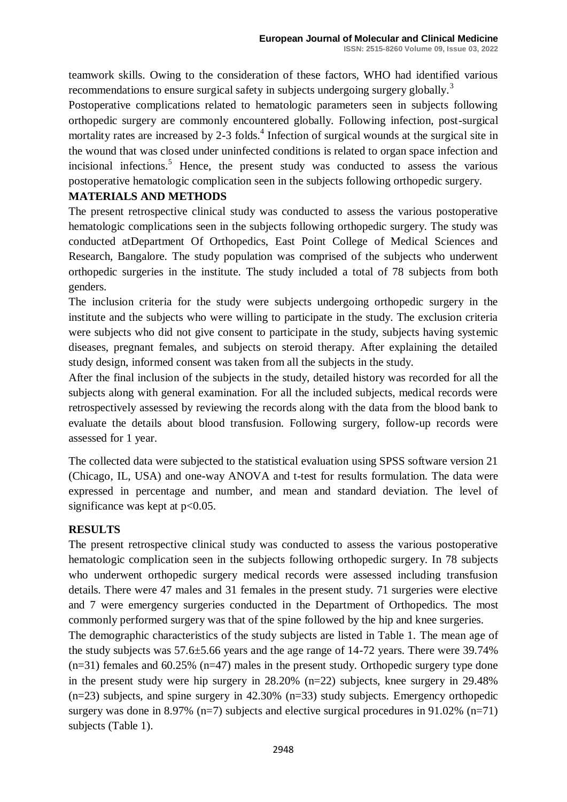teamwork skills. Owing to the consideration of these factors, WHO had identified various recommendations to ensure surgical safety in subjects undergoing surgery globally.<sup>3</sup>

Postoperative complications related to hematologic parameters seen in subjects following orthopedic surgery are commonly encountered globally. Following infection, post-surgical mortality rates are increased by 2-3 folds. $4$  Infection of surgical wounds at the surgical site in the wound that was closed under uninfected conditions is related to organ space infection and incisional infections.<sup>5</sup> Hence, the present study was conducted to assess the various postoperative hematologic complication seen in the subjects following orthopedic surgery.

#### **MATERIALS AND METHODS**

The present retrospective clinical study was conducted to assess the various postoperative hematologic complications seen in the subjects following orthopedic surgery. The study was conducted atDepartment Of Orthopedics, East Point College of Medical Sciences and Research, Bangalore. The study population was comprised of the subjects who underwent orthopedic surgeries in the institute. The study included a total of 78 subjects from both genders.

The inclusion criteria for the study were subjects undergoing orthopedic surgery in the institute and the subjects who were willing to participate in the study. The exclusion criteria were subjects who did not give consent to participate in the study, subjects having systemic diseases, pregnant females, and subjects on steroid therapy. After explaining the detailed study design, informed consent was taken from all the subjects in the study.

After the final inclusion of the subjects in the study, detailed history was recorded for all the subjects along with general examination. For all the included subjects, medical records were retrospectively assessed by reviewing the records along with the data from the blood bank to evaluate the details about blood transfusion. Following surgery, follow-up records were assessed for 1 year.

The collected data were subjected to the statistical evaluation using SPSS software version 21 (Chicago, IL, USA) and one-way ANOVA and t-test for results formulation. The data were expressed in percentage and number, and mean and standard deviation. The level of significance was kept at  $p<0.05$ .

#### **RESULTS**

The present retrospective clinical study was conducted to assess the various postoperative hematologic complication seen in the subjects following orthopedic surgery. In 78 subjects who underwent orthopedic surgery medical records were assessed including transfusion details. There were 47 males and 31 females in the present study. 71 surgeries were elective and 7 were emergency surgeries conducted in the Department of Orthopedics. The most commonly performed surgery was that of the spine followed by the hip and knee surgeries.

The demographic characteristics of the study subjects are listed in Table 1. The mean age of the study subjects was 57.6±5.66 years and the age range of 14-72 years. There were 39.74%  $(n=31)$  females and 60.25%  $(n=47)$  males in the present study. Orthopedic surgery type done in the present study were hip surgery in 28.20% (n=22) subjects, knee surgery in 29.48% (n=23) subjects, and spine surgery in 42.30% (n=33) study subjects. Emergency orthopedic surgery was done in 8.97% ( $n=7$ ) subjects and elective surgical procedures in 91.02% ( $n=71$ ) subjects (Table 1).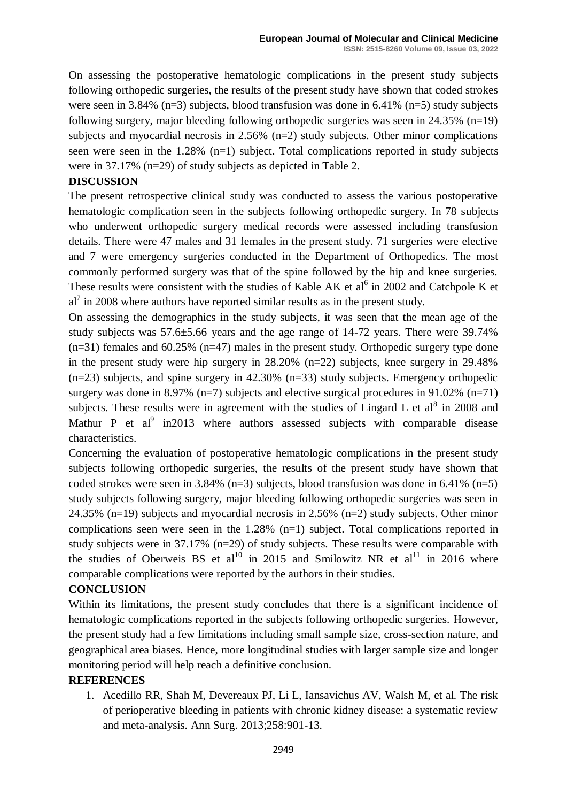On assessing the postoperative hematologic complications in the present study subjects following orthopedic surgeries, the results of the present study have shown that coded strokes were seen in 3.84% (n=3) subjects, blood transfusion was done in 6.41% (n=5) study subjects following surgery, major bleeding following orthopedic surgeries was seen in 24.35% (n=19) subjects and myocardial necrosis in 2.56% (n=2) study subjects. Other minor complications seen were seen in the 1.28% (n=1) subject. Total complications reported in study subjects were in 37.17% (n=29) of study subjects as depicted in Table 2.

## **DISCUSSION**

The present retrospective clinical study was conducted to assess the various postoperative hematologic complication seen in the subjects following orthopedic surgery. In 78 subjects who underwent orthopedic surgery medical records were assessed including transfusion details. There were 47 males and 31 females in the present study. 71 surgeries were elective and 7 were emergency surgeries conducted in the Department of Orthopedics. The most commonly performed surgery was that of the spine followed by the hip and knee surgeries. These results were consistent with the studies of Kable AK et  $al<sup>6</sup>$  in 2002 and Catchpole K et  $al<sup>7</sup>$  in 2008 where authors have reported similar results as in the present study.

On assessing the demographics in the study subjects, it was seen that the mean age of the study subjects was 57.6±5.66 years and the age range of 14-72 years. There were 39.74% (n=31) females and 60.25% (n=47) males in the present study. Orthopedic surgery type done in the present study were hip surgery in 28.20% (n=22) subjects, knee surgery in 29.48% (n=23) subjects, and spine surgery in 42.30% (n=33) study subjects. Emergency orthopedic surgery was done in 8.97% ( $n=7$ ) subjects and elective surgical procedures in 91.02% ( $n=71$ ) subjects. These results were in agreement with the studies of Lingard L et al<sup>8</sup> in 2008 and Mathur P et  $al^9$  in 2013 where authors assessed subjects with comparable disease characteristics.

Concerning the evaluation of postoperative hematologic complications in the present study subjects following orthopedic surgeries, the results of the present study have shown that coded strokes were seen in 3.84% (n=3) subjects, blood transfusion was done in 6.41% (n=5) study subjects following surgery, major bleeding following orthopedic surgeries was seen in 24.35% (n=19) subjects and myocardial necrosis in 2.56% (n=2) study subjects. Other minor complications seen were seen in the 1.28% (n=1) subject. Total complications reported in study subjects were in 37.17% (n=29) of study subjects. These results were comparable with the studies of Oberweis BS et al<sup>10</sup> in 2015 and Smilowitz NR et al<sup>11</sup> in 2016 where comparable complications were reported by the authors in their studies.

#### **CONCLUSION**

Within its limitations, the present study concludes that there is a significant incidence of hematologic complications reported in the subjects following orthopedic surgeries. However, the present study had a few limitations including small sample size, cross-section nature, and geographical area biases. Hence, more longitudinal studies with larger sample size and longer monitoring period will help reach a definitive conclusion.

#### **REFERENCES**

1. Acedillo RR, Shah M, Devereaux PJ, Li L, Iansavichus AV, Walsh M, et al. The risk of perioperative bleeding in patients with chronic kidney disease: a systematic review and meta-analysis. Ann Surg. 2013;258:901-13.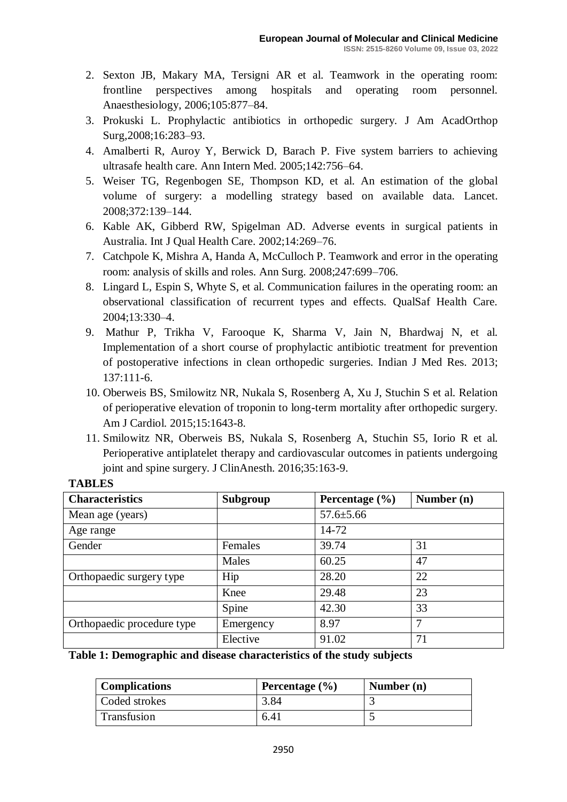- 2. Sexton JB, Makary MA, Tersigni AR et al. Teamwork in the operating room: frontline perspectives among hospitals and operating room personnel. Anaesthesiology, 2006;105:877–84.
- 3. Prokuski L. Prophylactic antibiotics in orthopedic surgery. J Am AcadOrthop Surg,2008;16:283–93.
- 4. Amalberti R, Auroy Y, Berwick D, Barach P. Five system barriers to achieving ultrasafe health care. Ann Intern Med. 2005;142:756–64.
- 5. Weiser TG, Regenbogen SE, Thompson KD, et al. An estimation of the global volume of surgery: a modelling strategy based on available data. Lancet. 2008;372:139–144.
- 6. Kable AK, Gibberd RW, Spigelman AD. Adverse events in surgical patients in Australia. Int J Qual Health Care. 2002;14:269–76.
- 7. Catchpole K, Mishra A, Handa A, McCulloch P. Teamwork and error in the operating room: analysis of skills and roles. Ann Surg. 2008;247:699–706.
- 8. Lingard L, Espin S, Whyte S, et al. Communication failures in the operating room: an observational classification of recurrent types and effects. QualSaf Health Care. 2004;13:330–4.
- 9. Mathur P, Trikha V, Farooque K, Sharma V, Jain N, Bhardwaj N, et al. Implementation of a short course of prophylactic antibiotic treatment for prevention of postoperative infections in clean orthopedic surgeries. Indian J Med Res. 2013; 137:111-6.
- 10. Oberweis BS, Smilowitz NR, Nukala S, Rosenberg A, Xu J, Stuchin S et al. Relation of perioperative elevation of troponin to long-term mortality after orthopedic surgery. Am J Cardiol. 2015;15:1643-8.
- 11. Smilowitz NR, Oberweis BS, Nukala S, Rosenberg A, Stuchin S5, Iorio R et al. Perioperative antiplatelet therapy and cardiovascular outcomes in patients undergoing joint and spine surgery. J ClinAnesth. 2016;35:163-9.

| 111D DDD                   |           |                    |              |  |
|----------------------------|-----------|--------------------|--------------|--|
| <b>Characteristics</b>     | Subgroup  | Percentage $(\% )$ | Number $(n)$ |  |
| Mean age (years)           |           | $57.6 \pm 5.66$    |              |  |
| Age range                  |           | 14-72              |              |  |
| Gender                     | Females   | 39.74              | 31           |  |
|                            | Males     | 60.25              | 47           |  |
| Orthopaedic surgery type   | Hip       | 28.20              | 22           |  |
|                            | Knee      | 29.48              | 23           |  |
|                            | Spine     | 42.30              | 33           |  |
| Orthopaedic procedure type | Emergency | 8.97               | 7            |  |
|                            | Elective  | 91.02              | 71           |  |

## **TABLES**

**Table 1: Demographic and disease characteristics of the study subjects**

| <b>Complications</b> | Percentage $(\% )$ | Number $(n)$ |
|----------------------|--------------------|--------------|
| Coded strokes        | 3.84               |              |
| Transfusion          | 6.41               |              |